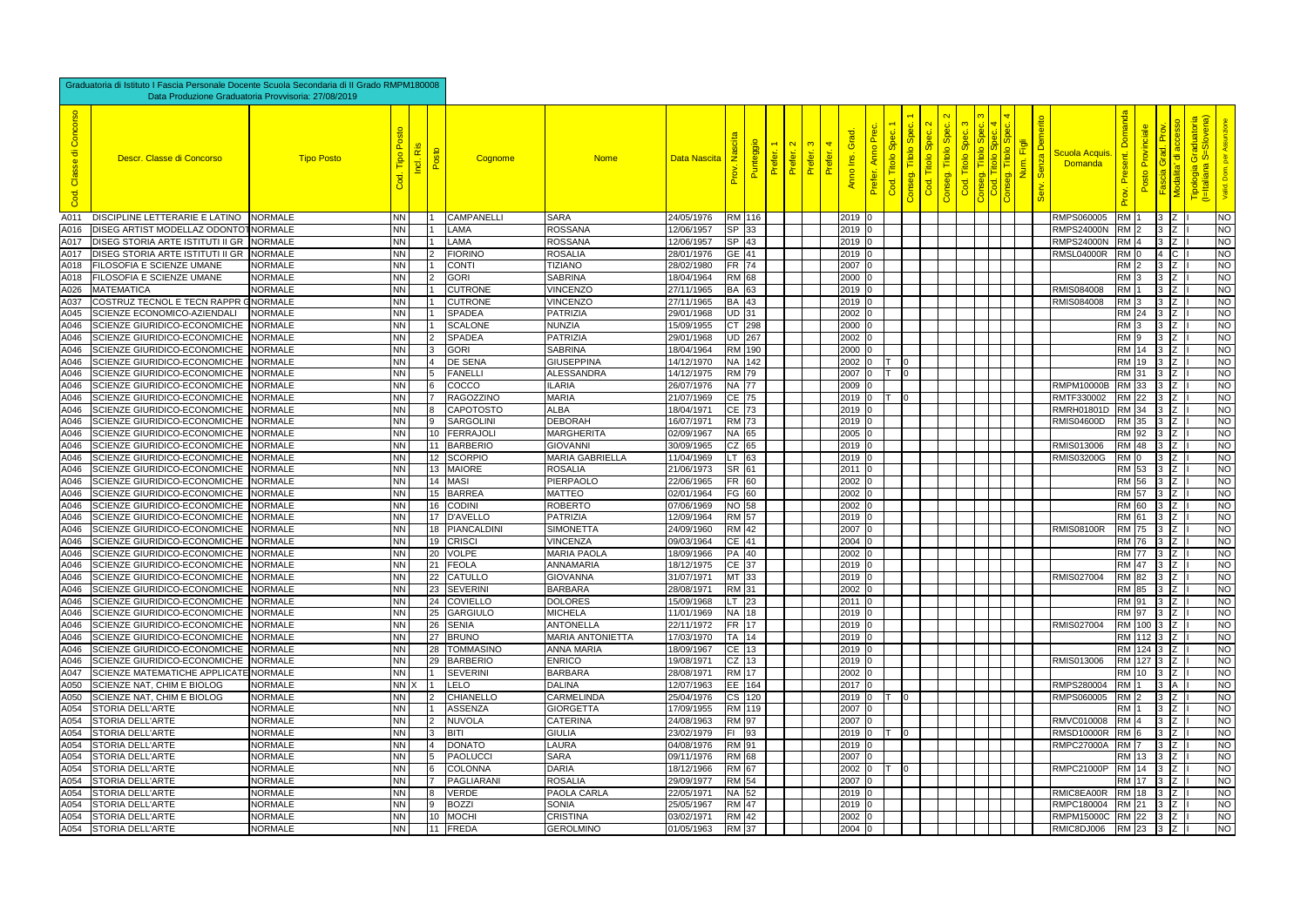| Graduatoria di Istituto I Fascia Personale Docente Scuola Secondaria di Il Grado RMPM180008<br>Data Produzione Graduatoria Provvisoria: 27/08/2019 |                                                                                   |                   |                        |  |    |                            |                                   |                          |                                   |        |        |                             |             |                                      |                                                 |                                        |        |  |                            |                                        |                  |                        |                     |                                                                         |                        |
|----------------------------------------------------------------------------------------------------------------------------------------------------|-----------------------------------------------------------------------------------|-------------------|------------------------|--|----|----------------------------|-----------------------------------|--------------------------|-----------------------------------|--------|--------|-----------------------------|-------------|--------------------------------------|-------------------------------------------------|----------------------------------------|--------|--|----------------------------|----------------------------------------|------------------|------------------------|---------------------|-------------------------------------------------------------------------|------------------------|
| Concorso<br>$\overline{\sigma}$<br>Classe<br>Cod.                                                                                                  | Descr. Classe di Concorso                                                         | <b>Tipo Posto</b> | Tipo<br>Cod.           |  |    | Cognome                    | <b>Nome</b>                       | Data Nascita             | <u>Ž</u><br>$\overline{\delta}$ . | Punter | Prefer | $\mathbf{\Omega}$<br>Prefer | 4<br>Prefer | <b>G</b> ra<br>$\frac{1}{2}$<br>Anno | ഗ<br>$\circ$<br>Titol<br>$\circ$<br>seg.<br>Gon | Spec.<br>Titolo<br>iseg.<br><b>Con</b> | Titolo |  | nerito<br>Senza I<br>Serv. | <u>Scuola Acquis</u><br><b>Domanda</b> | n<br>D           |                        |                     | raduatoria<br>i=Slovena)<br><u>စ် ဖ</u> ံ<br>Tipologia (<br>(I=Italiana |                        |
| A011                                                                                                                                               | DISCIPLINE LETTERARIE E LATINO                                                    | <b>NORMALE</b>    | NN                     |  |    | <b>CAMPANELL</b>           | <b>SARA</b>                       | 24/05/1976               | RM 116                            |        |        |                             |             | $2019$ 0                             |                                                 |                                        |        |  |                            | RMPS060005                             | <b>RM</b> 1      |                        | $3 \mid Z$          |                                                                         | <b>NO</b>              |
| $\overline{A0}$ 16                                                                                                                                 | DISEG ARTIST MODELLAZ ODONTOT NORMALE                                             |                   | NΝ                     |  |    | <b>LAMA</b>                | <b>ROSSANA</b>                    | 12/06/1957               | SP 33                             |        |        |                             |             | $2019$ 0                             |                                                 |                                        |        |  |                            | <b>RMPS24000N</b>                      | RM <sub>2</sub>  |                        | $3 \mid Z$          |                                                                         | $\overline{\text{NO}}$ |
| A017                                                                                                                                               | DISEG STORIA ARTE ISTITUTI II GR NORMALE                                          |                   | NΝ                     |  |    | <b>LAMA</b>                | <b>ROSSANA</b>                    | 12/06/1957               | $SP$ 43                           |        |        |                             |             | $2019$ 0                             |                                                 |                                        |        |  |                            | <b>RMPS24000N</b>                      | RM <sub>4</sub>  |                        | $3\vert z \vert$    |                                                                         | $\overline{\text{NO}}$ |
| A017                                                                                                                                               | DISEG STORIA ARTE ISTITUTI II GR NORMALE                                          |                   | <b>NN</b>              |  |    | FIORINO                    | <b>ROSALIA</b>                    | 28/01/1976               | GE $ 41 $                         |        |        |                             |             | $2019$ 0                             |                                                 |                                        |        |  |                            | RMSL04000R                             | RM IO            |                        | $4 \, \text{C}$     |                                                                         | $\overline{\text{NO}}$ |
| A018                                                                                                                                               | FILOSOFIA E SCIENZE UMANE                                                         | <b>NORMALE</b>    | <b>NN</b>              |  |    | CONTI                      | <b>TIZIANO</b>                    | 28/02/1980               | FR 74                             |        |        |                             |             | 2007                                 |                                                 |                                        |        |  |                            |                                        | RM 2             |                        | $3 \mid Z$          |                                                                         | $\overline{\text{NO}}$ |
| A018                                                                                                                                               | FILOSOFIA E SCIENZE UMANE                                                         | <b>NORMALE</b>    | NΝ                     |  |    | GORI                       | <b>SABRINA</b>                    | 18/04/1964               | RM 68                             |        |        |                             |             | 2000                                 |                                                 |                                        |        |  |                            |                                        | RM <sub>13</sub> |                        | IZ.<br>$\mathbf{R}$ |                                                                         | $\overline{\text{NO}}$ |
| A026                                                                                                                                               | <b>MATEMATICA</b>                                                                 | <b>NORMALE</b>    | <b>NN</b>              |  |    | <b>CUTRONE</b>             | <b>VINCENZO</b>                   | 27/11/1965               | BA 63                             |        |        |                             |             | $2019$ 0                             |                                                 |                                        |        |  |                            | <b>RMIS084008</b>                      | RM 1             |                        | $3 \mid Z$          |                                                                         | $\overline{\text{NO}}$ |
| A037                                                                                                                                               | <b>COSTRUZ TECNOL E TECN RAPPR GNORMALE</b>                                       |                   | <b>NN</b>              |  |    | <b>CUTRONE</b>             | <b>VINCENZO</b>                   | 27/11/1965               | BA 43                             |        |        |                             |             | $2019$ 0                             |                                                 |                                        |        |  |                            | <b>RMIS084008</b>                      | RM <sub>3</sub>  |                        | $3 \mid Z$          |                                                                         | $\overline{\text{NO}}$ |
| A045                                                                                                                                               | SCIENZE ECONOMICO-AZIENDALI                                                       | <b>NORMALE</b>    | NΝ                     |  |    | <b>SPADEA</b>              | <b>PATRIZIA</b>                   | 29/01/1968               | UD 31                             |        |        |                             |             | $2002$ 10                            |                                                 |                                        |        |  |                            |                                        | RM 24            |                        | $3 \mid Z$          |                                                                         | $\overline{\text{NO}}$ |
| A046                                                                                                                                               | SCIENZE GIURIDICO-ECONOMICHE                                                      | <b>NORMALE</b>    | NN.                    |  |    | <b>SCALONE</b>             | <b>NUNZIA</b>                     | 15/09/1955               | CT 298                            |        |        |                             |             | $2000$ 0                             |                                                 |                                        |        |  |                            |                                        | RM 3             |                        | $3 \mid Z$          |                                                                         | $\overline{\text{NO}}$ |
| A046                                                                                                                                               | SCIENZE GIURIDICO-ECONOMICHE                                                      | <b>NORMALE</b>    | <b>NN</b>              |  |    | <b>SPADEA</b>              | <b>PATRIZIA</b>                   | 29/01/1968               | <b>JD 267</b>                     |        |        |                             |             | 2002 0                               |                                                 |                                        |        |  |                            |                                        | RM 19            |                        | 3<br>Z              |                                                                         | NO                     |
| A046                                                                                                                                               | SCIENZE GIURIDICO-ECONOMICHE                                                      | <b>NORMALE</b>    | <b>NN</b>              |  |    | GORI                       | <b>SABRINA</b>                    | 18/04/1964               | RM 190                            |        |        |                             |             | $2000$ 0                             |                                                 |                                        |        |  |                            |                                        | RM 14            |                        | 3 Z                 |                                                                         | $\overline{\text{NO}}$ |
| A046                                                                                                                                               | SCIENZE GIURIDICO-ECONOMICHE                                                      | <b>NORMALE</b>    | <b>NN</b>              |  |    | <b>DE SENA</b>             | <b>GIUSEPPINA</b>                 | 14/12/1970               | NA 142                            |        |        |                             |             | $2002$ 0                             | 10                                              |                                        |        |  |                            |                                        | RM 19            |                        | Z                   |                                                                         | $\overline{\text{NO}}$ |
| A046                                                                                                                                               | SCIENZE GIURIDICO-ECONOMICHE NORMALE                                              |                   | <b>NN</b>              |  |    | <b>FANELLI</b>             | <b>ALESSANDRA</b>                 | 14/12/1975               | RM 79                             |        |        |                             |             | 2007 0                               | 10                                              |                                        |        |  |                            |                                        | RM 31            |                        | $3 \mid Z$          |                                                                         | $\overline{\text{NO}}$ |
| A046                                                                                                                                               | SCIENZE GIURIDICO-ECONOMICHE                                                      | <b>NORMALE</b>    | <b>NN</b>              |  |    | <b>COCCO</b>               | <b>ILARIA</b>                     | 26/07/1976               | NA 77                             |        |        |                             |             | $2009$ 0                             |                                                 |                                        |        |  |                            | <b>RMPM10000B</b>                      | RM 33            |                        | $3\overline{z}$     |                                                                         | $\overline{\text{NO}}$ |
| A046                                                                                                                                               | SCIENZE GIURIDICO-ECONOMICHE                                                      | <b>NORMALE</b>    | <b>NN</b>              |  |    | RAGOZZINO                  | <b>MARIA</b>                      | 21/07/1969               | CE 75                             |        |        |                             |             | $2019$ 0                             | -10                                             |                                        |        |  |                            | RMTF330002                             | RM  22           |                        | Iz -<br>13.         |                                                                         | NO                     |
| A046                                                                                                                                               | SCIENZE GIURIDICO-ECONOMICHE                                                      | <b>NORMALE</b>    | NΝ                     |  |    | <b>CAPOTOSTO</b>           | <b>ALBA</b>                       | 18/04/1971               | CE 73                             |        |        |                             |             | $2019$ 0                             |                                                 |                                        |        |  |                            | <b>RMRH01801D</b>                      | <b>RM</b> 34     |                        | IZ.<br>13.          |                                                                         | $\overline{\text{NO}}$ |
| A046                                                                                                                                               | SCIENZE GIURIDICO-ECONOMICHE                                                      | <b>NORMALE</b>    | <b>NN</b>              |  |    | SARGOLINI                  | <b>DEBORAH</b>                    | 16/07/1971               | RM 73                             |        |        |                             |             | $2019$ 0                             |                                                 |                                        |        |  |                            | <b>RMIS04600D</b>                      | RM 35            |                        | IZ.<br>3            |                                                                         | $\overline{\text{NO}}$ |
| A046                                                                                                                                               | SCIENZE GIURIDICO-ECONOMICHE                                                      | <b>NORMALE</b>    | <b>NN</b>              |  | 10 | FERRAJOLI                  | <b>MARGHERITA</b>                 | 02/09/1967               | NA 65                             |        |        |                             |             | $2005$ 0                             |                                                 |                                        |        |  |                            |                                        | RM 92            |                        | $3 \mid Z$          |                                                                         | $\overline{\text{NO}}$ |
| A046                                                                                                                                               | SCIENZE GIURIDICO-ECONOMICHE                                                      | <b>NORMALE</b>    | NN.                    |  |    | 11 BARBERIO                | <b>GIOVANNI</b>                   | 30/09/1965               | $CZ$ 65                           |        |        |                             |             | $2019$ 0                             |                                                 |                                        |        |  |                            | RMIS013006                             | RM 48            |                        | $3 \mid Z$          |                                                                         | NO                     |
| A046                                                                                                                                               | SCIENZE GIURIDICO-ECONOMICHE                                                      | <b>NORMALE</b>    | ΝN                     |  |    | 12 SCORPIO                 | <b>MARIA GABRIELLA</b>            | 11/04/1969               | T 63                              |        |        |                             |             | $2019$ 0                             |                                                 |                                        |        |  |                            | <b>RMIS03200G</b>                      | RM IO            |                        | $3 \mid Z$          |                                                                         | $\overline{\text{NO}}$ |
| A046                                                                                                                                               | SCIENZE GIURIDICO-ECONOMICHE                                                      | <b>NORMALE</b>    | <b>NN</b>              |  |    | 13 MAIORE                  | <b>ROSALIA</b>                    | 21/06/1973               | SR 61                             |        |        |                             |             | $2011$ 0                             |                                                 |                                        |        |  |                            |                                        | RM 53            |                        | $3 \mid Z$          |                                                                         | NO                     |
| A046                                                                                                                                               | SCIENZE GIURIDICO-ECONOMICHE                                                      | <b>NORMALE</b>    | NΝ                     |  |    | 14 MASI                    | PIERPAOLO                         | 22/06/1965               | FR 60                             |        |        |                             |             | $2002$ 0                             |                                                 |                                        |        |  |                            |                                        | RM 56            |                        | $3 \mid Z$          |                                                                         | NO                     |
| A046                                                                                                                                               | SCIENZE GIURIDICO-ECONOMICHE                                                      | <b>NORMALE</b>    | ΝN                     |  |    | 15 BARREA                  | <b>MATTEO</b>                     | 02/01/1964               | FG 60                             |        |        |                             |             | $2002$ 0                             |                                                 |                                        |        |  |                            |                                        | RM 57            |                        | $3 \mid Z$          |                                                                         | $\overline{\text{NO}}$ |
| A046                                                                                                                                               | SCIENZE GIURIDICO-ECONOMICHE NORMALE                                              |                   | <b>NN</b>              |  |    | 16 CODINI                  | <b>ROBERTO</b>                    | 07/06/1969               | NO 58                             |        |        |                             |             | $2002$ 0                             |                                                 |                                        |        |  |                            |                                        | RM 60            |                        | $3 \mid Z$          |                                                                         | NO                     |
| A046                                                                                                                                               | SCIENZE GIURIDICO-ECONOMICHE                                                      | <b>NORMALE</b>    | <b>NN</b>              |  |    | 17 D'AVELLO                | <b>PATRIZIA</b>                   | 12/09/1964               | RM 57                             |        |        |                             |             | $2019$ 0                             |                                                 |                                        |        |  |                            |                                        | RM 61            |                        | 3 Z                 |                                                                         | $\overline{\text{NO}}$ |
| A046                                                                                                                                               | SCIENZE GIURIDICO-ECONOMICHE                                                      | <b>NORMALE</b>    | <b>NN</b>              |  |    | 18 PIANCALDINI             | <b>SIMONETTA</b>                  | 24/09/1960               | RM 42                             |        |        |                             |             | 2007                                 |                                                 |                                        |        |  |                            | <b>RMIS08100R</b>                      | RM 75            |                        | $3\,Z$              |                                                                         | $\overline{\text{NO}}$ |
| A046                                                                                                                                               | SCIENZE GIURIDICO-ECONOMICHE                                                      | <b>NORMALE</b>    | <b>NN</b>              |  |    | 19 CRISCI                  | <b>VINCENZA</b>                   | 09/03/1964               | CE 141                            |        |        |                             |             | $2004$ 0                             |                                                 |                                        |        |  |                            |                                        | RM <b>7</b> 6    |                        | $3 \mid Z$          |                                                                         | $\overline{\text{NO}}$ |
| A046                                                                                                                                               | SCIENZE GIURIDICO-ECONOMICHE                                                      | <b>NORMALE</b>    | NΝ                     |  |    | 20 VOLPE                   | MARIA PAOLA                       | 18/09/1966               | PA 140                            |        |        |                             |             | $2002$ 0                             |                                                 |                                        |        |  |                            |                                        | RM 77            |                        | 3 Z                 |                                                                         | NO                     |
| A046                                                                                                                                               | SCIENZE GIURIDICO-ECONOMICHE NORMALE                                              |                   | NN.                    |  |    | 21 FEOLA                   | ANNAMARIA                         | 18/12/1975               | CE 37                             |        |        |                             |             | $2019$ 0                             |                                                 |                                        |        |  |                            |                                        | RM 47            |                        | $3\,Z$              |                                                                         | NO                     |
| A046                                                                                                                                               | A046 SCIENZE GIURIDICO-ECONOMICHE NORMALE<br>SCIENZE GIURIDICO-ECONOMICHE NORMALE |                   | ΝN                     |  |    | 22 CATULLO                 | <b>GIOVANNA</b><br><b>BARBARA</b> | 31/07/1971<br>28/08/1971 | $MT$ 33<br><b>RM</b> 31           |        |        |                             |             | $2019$ 0<br>$2002$ 0                 |                                                 |                                        |        |  |                            | <b>RMIS027004</b>                      |                  | RM 82 3 Z<br>RM 85 3 Z |                     |                                                                         | NO<br>NO               |
| A046                                                                                                                                               | SCIENZE GIURIDICO-ECONOMICHE NORMALE                                              |                   | <b>NN</b><br><b>NN</b> |  |    | 23 SEVERINI<br>24 COVIELLO | <b>DOLORES</b>                    | 15/09/1968               | LT 23                             |        |        |                             |             | $2011$ 0                             |                                                 |                                        |        |  |                            |                                        |                  | RM 91 3 Z              |                     |                                                                         | $\overline{\text{NO}}$ |
| A046                                                                                                                                               | SCIENZE GIURIDICO-ECONOMICHE NORMALE                                              |                   | NΝ                     |  |    | 25 GARGIULO                | <b>MICHELA</b>                    | 11/01/1969               | NA 18                             |        |        |                             |             | $2019$ 0                             |                                                 |                                        |        |  |                            |                                        |                  | RM 97 3 Z              |                     |                                                                         | NO                     |
| A046                                                                                                                                               | SCIENZE GIURIDICO-ECONOMICHE NORMALE                                              |                   | <b>NN</b>              |  |    | 26 SENIA                   | <b>ANTONELLA</b>                  | 22/11/1972               | FR 17                             |        |        |                             |             | $2019$ 0                             |                                                 |                                        |        |  |                            | <b>RMIS027004</b>                      |                  | RM 100 3 Z             |                     |                                                                         | N                      |
| A046                                                                                                                                               | SCIENZE GIURIDICO-ECONOMICHE NORMALE                                              |                   | <b>NN</b>              |  |    | 27 BRUNO                   | <b>MARIA ANTONIETTA</b>           | 17/03/1970               | TA 14                             |        |        |                             |             | $2019$ 0                             |                                                 |                                        |        |  |                            |                                        |                  | RM 112 3 Z             |                     |                                                                         | $\overline{\text{NO}}$ |
| A046                                                                                                                                               | SCIENZE GIURIDICO-ECONOMICHE NORMALE                                              |                   | <b>NN</b>              |  |    | 28 TOMMASINO               | <b>ANNA MARIA</b>                 | 18/09/1967               | $CE$ 13                           |        |        |                             |             | $2019$ 0                             |                                                 |                                        |        |  |                            |                                        |                  | RM 124 3 Z             |                     |                                                                         | NO                     |
| A046                                                                                                                                               | SCIENZE GIURIDICO-ECONOMICHE                                                      | <b>NORMALE</b>    | NN.                    |  |    | 29 BARBERIO                | <b>ENRICO</b>                     | 19/08/1971               | $CZ$ 13                           |        |        |                             |             | $2019$ 0                             |                                                 |                                        |        |  |                            | RMIS013006                             |                  | RM 127 3 Z             |                     |                                                                         | NO                     |
| A047                                                                                                                                               | SCIENZE MATEMATICHE APPLICATE NORMALE                                             |                   | NN                     |  |    | SEVERINI                   | <b>BARBARA</b>                    | 28/08/1971               | RM 17                             |        |        |                             |             | $2002$ 0                             |                                                 |                                        |        |  |                            |                                        |                  | RM 10 3 Z              |                     |                                                                         | NO                     |
| A050                                                                                                                                               | SCIENZE NAT, CHIM E BIOLOG                                                        | <b>NORMALE</b>    | NN X                   |  |    | LELO                       | <b>DALINA</b>                     | 12/07/1963               | EE 164                            |        |        |                             |             | $2017$ 0                             |                                                 |                                        |        |  |                            | RMPS280004                             | <b>RM</b> 1      |                        | 3 A                 |                                                                         | N                      |
| A050                                                                                                                                               | SCIENZE NAT, CHIM E BIOLOG                                                        | <b>NORMALE</b>    | NN.                    |  |    | CHIANELLO                  | <b>CARMELINDA</b>                 | 25/04/1976               | CS 120                            |        |        |                             |             | 2019 0 $\vert$ T 0                   |                                                 |                                        |        |  |                            | RMPS060005                             | RM <sub>2</sub>  |                        | $3 \mid Z \mid$     |                                                                         | N                      |
|                                                                                                                                                    | A054 STORIA DELL'ARTE                                                             | <b>NORMALE</b>    | NN                     |  |    | ASSENZA                    | <b>GIORGETTA</b>                  | 17/09/1955               | RM 119                            |        |        |                             |             | 2007 0                               |                                                 |                                        |        |  |                            |                                        | RM 1             |                        | 3 Z                 |                                                                         | NO                     |
|                                                                                                                                                    | A054 STORIA DELL'ARTE                                                             | <b>NORMALE</b>    | NN.                    |  |    | NUVOLA                     | <b>CATERINA</b>                   | 24/08/1963               | <b>RM</b> 97                      |        |        |                             |             | $2007$ 0                             |                                                 |                                        |        |  |                            | RMVC010008                             | $RM$ 4           |                        | 3 Z                 |                                                                         | N                      |
|                                                                                                                                                    | A054 STORIA DELL'ARTE                                                             | <b>NORMALE</b>    | NN.                    |  |    | BITI                       | <b>GIULIA</b>                     | 23/02/1979               | FI 93                             |        |        |                             |             | 2019 0 T 0                           |                                                 |                                        |        |  |                            | <b>RMSD10000R</b>                      | <b>RM</b> 6      |                        | 3 Z                 |                                                                         | NO                     |
|                                                                                                                                                    | A054 STORIA DELL'ARTE                                                             | <b>NORMALE</b>    | NΝ                     |  |    | <b>DONATO</b>              | <b>LAURA</b>                      | 04/08/1976               | RM 91                             |        |        |                             |             | $2019$ 0                             |                                                 |                                        |        |  |                            | <b>RMPC27000A</b>                      | RM 7             |                        | 3 Z                 |                                                                         | $\overline{\text{NO}}$ |
|                                                                                                                                                    | A054 STORIA DELL'ARTE                                                             | NORMALE           | NN                     |  |    | PAOLUCCI                   | <b>SARA</b>                       | 09/11/1976               | <b>RM</b> 68                      |        |        |                             |             | $2007$ 0                             |                                                 |                                        |        |  |                            |                                        |                  | RM 13 3 Z              |                     |                                                                         | N                      |
|                                                                                                                                                    | A054 STORIA DELL'ARTE                                                             | <b>NORMALE</b>    | <b>NN</b>              |  |    | <b>COLONNA</b>             | <b>DARIA</b>                      | 18/12/1966               | RM 67                             |        |        |                             |             | $2002$ 0 T                           | $\overline{10}$                                 |                                        |        |  |                            | <b>RMPC21000P</b>                      |                  | RM 14 3 Z              |                     |                                                                         | $\overline{\text{NO}}$ |
|                                                                                                                                                    | A054 STORIA DELL'ARTE                                                             | <b>NORMALE</b>    | NΝ                     |  |    | PAGLIARANI                 | <b>ROSALIA</b>                    | 29/09/1977               | <b>RM</b> 54                      |        |        |                             |             | $2007$ 0                             |                                                 |                                        |        |  |                            |                                        |                  | RM 17 3 Z              |                     |                                                                         | NO                     |
|                                                                                                                                                    | A054 STORIA DELL'ARTE                                                             | <b>NORMALE</b>    | NN.                    |  |    | <b>VERDE</b>               | <b>PAOLA CARLA</b>                | 22/05/1971               | NA 52                             |        |        |                             |             | $2019$ 0                             |                                                 |                                        |        |  |                            | RMIC8EA00R                             |                  | RM 18 3 Z              |                     |                                                                         | NO                     |
|                                                                                                                                                    | A054 STORIA DELL'ARTE                                                             | <b>NORMALE</b>    | NN                     |  |    | <b>BOZZI</b>               | <b>SONIA</b>                      | 25/05/1967               | <b>RM</b> 47                      |        |        |                             |             | $2019$ 0                             |                                                 |                                        |        |  |                            | RMPC180004                             |                  | RM 21 3 Z              |                     |                                                                         | NO                     |
|                                                                                                                                                    | A054 STORIA DELL'ARTE                                                             | <b>NORMALE</b>    | <b>NN</b>              |  |    | 10 MOCHI                   | <b>CRISTINA</b>                   | 03/02/1971               | RM 42                             |        |        |                             |             | $2002$ 0                             |                                                 |                                        |        |  |                            | RMPM15000C RM 22 3 Z                   |                  |                        |                     |                                                                         | N                      |
|                                                                                                                                                    | A054 STORIA DELL'ARTE                                                             | <b>NORMALE</b>    | <b>NN</b>              |  |    | 11 FREDA                   | <b>GEROLMINO</b>                  | 01/05/1963               | RM 37                             |        |        |                             |             | $2004$ 0                             |                                                 |                                        |        |  |                            | RMIC8DJ006                             |                  | $RM$ 23 3 $Z$          |                     |                                                                         | N                      |